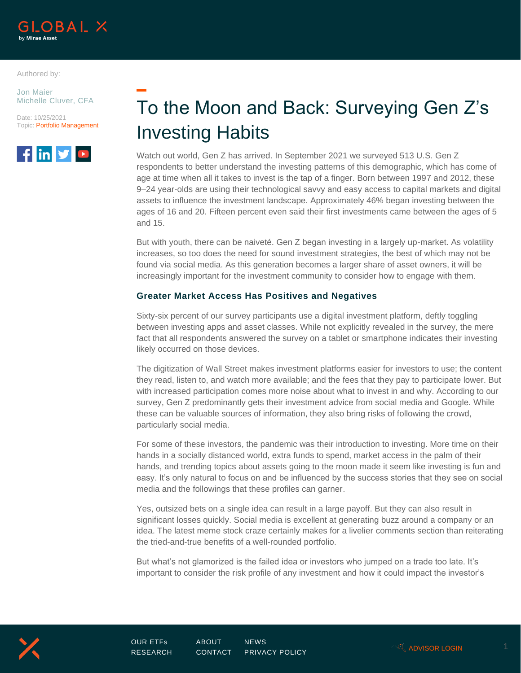

Authored by:

Jon Maier Michelle Cluver, CFA





# To the Moon and Back: Surveying Gen Z's Investing Habits

Watch out world, Gen Z has arrived. In September 2021 we surveyed 513 U.S. Gen Z respondents to better understand the investing patterns of this demographic, which has come of age at time when all it takes to invest is the tap of a finger. Born between 1997 and 2012, these 9–24 year-olds are using their technological savvy and easy access to capital markets and digital assets to influence the investment landscape. Approximately 46% began investing between the ages of 16 and 20. Fifteen percent even said their first investments came between the ages of 5 and 15.

But with youth, there can be naiveté. Gen Z began investing in a largely up-market. As volatility increases, so too does the need for sound investment strategies, the best of which may not be found via social media. As this generation becomes a larger share of asset owners, it will be increasingly important for the investment community to consider how to engage with them.

#### **Greater Market Access Has Positives and Negatives**

Sixty-six percent of our survey participants use a digital investment platform, deftly toggling between investing apps and asset classes. While not explicitly revealed in the survey, the mere fact that all respondents answered the survey on a tablet or smartphone indicates their investing likely occurred on those devices.

The digitization of Wall Street makes investment platforms easier for investors to use; the content they read, listen to, and watch more available; and the fees that they pay to participate lower. But with increased participation comes more noise about what to invest in and why. According to our survey, Gen Z predominantly gets their investment advice from social media and Google. While these can be valuable sources of information, they also bring risks of following the crowd, particularly social media.

For some of these investors, the pandemic was their introduction to investing. More time on their hands in a socially distanced world, extra funds to spend, market access in the palm of their hands, and trending topics about assets going to the moon made it seem like investing is fun and easy. It's only natural to focus on and be influenced by the success stories that they see on social media and the followings that these profiles can garner.

Yes, outsized bets on a single idea can result in a large payoff. But they can also result in significant losses quickly. Social media is excellent at generating buzz around a company or an idea. The latest meme stock craze certainly makes for a livelier comments section than reiterating the tried-and-true benefits of a well-rounded portfolio.

But what's not glamorized is the failed idea or investors who jumped on a trade too late. It's important to consider the risk profile of any investment and how it could impact the investor's

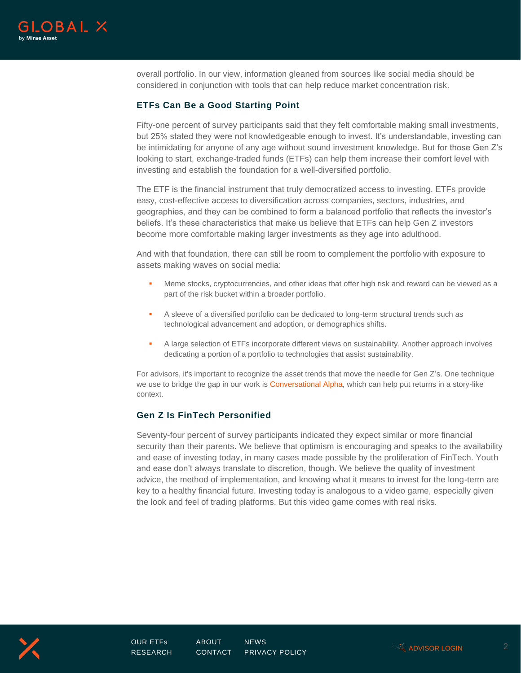

overall portfolio. In our view, information gleaned from sources like social media should be considered in conjunction with tools that can help reduce market concentration risk.

## **ETFs Can Be a Good Starting Point**

Fifty-one percent of survey participants said that they felt comfortable making small investments, but 25% stated they were not knowledgeable enough to invest. It's understandable, investing can be intimidating for anyone of any age without sound investment knowledge. But for those Gen Z's looking to start, exchange-traded funds (ETFs) can help them increase their comfort level with investing and establish the foundation for a well-diversified portfolio.

The ETF is the financial instrument that truly democratized access to investing. ETFs provide easy, cost-effective access to diversification across companies, sectors, industries, and geographies, and they can be combined to form a balanced portfolio that reflects the investor's beliefs. It's these characteristics that make us believe that ETFs can help Gen Z investors become more comfortable making larger investments as they age into adulthood.

And with that foundation, there can still be room to complement the portfolio with exposure to assets making waves on social media:

- **.** Meme stocks, cryptocurrencies, and other ideas that offer high risk and reward can be viewed as a part of the risk bucket within a broader portfolio.
- A sleeve of a diversified portfolio can be dedicated to long-term structural trends such as technological advancement and adoption, or demographics shifts.
- **A large selection of ETFs incorporate different views on sustainability. Another approach involves** dedicating a portion of a portfolio to technologies that assist sustainability.

For advisors, it's important to recognize the asset trends that move the needle for Gen Z's. One technique we use to bridge the gap in our work is [Conversational Alpha,](https://www.globalxetfs.com/introducing-conversational-alpha-talking-goals-returns-with-your-clients/) which can help put returns in a story-like context.

#### **Gen Z Is FinTech Personified**

Seventy-four percent of survey participants indicated they expect similar or more financial security than their parents. We believe that optimism is encouraging and speaks to the availability and ease of investing today, in many cases made possible by the proliferation of FinTech. Youth and ease don't always translate to discretion, though. We believe the quality of investment advice, the method of implementation, and knowing what it means to invest for the long-term are key to a healthy financial future. Investing today is analogous to a video game, especially given the look and feel of trading platforms. But this video game comes with real risks.

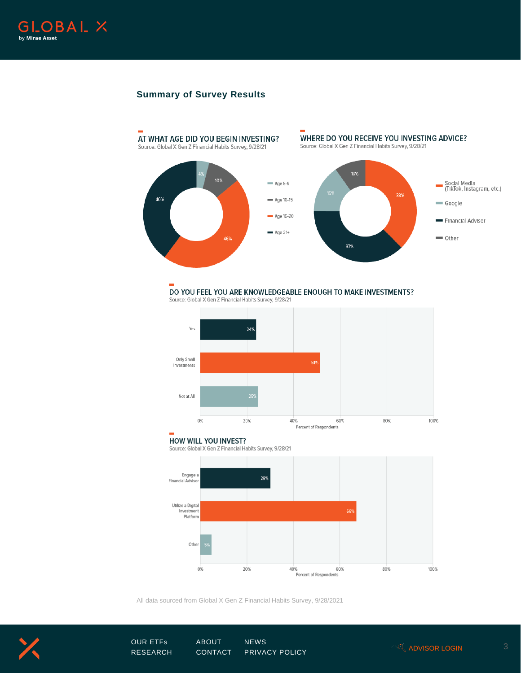

## **Summary of Survey Results**



## DO YOU FEEL YOU ARE KNOWLEDGEABLE ENOUGH TO MAKE INVESTMENTS?

Source: Global X Gen Z Financial Habits Survey, 9/28/21



#### **HOW WILL YOU INVEST?**

Source: Global X Gen Z Financial Habits Survey, 9/28/21



All data sourced from Global X Gen Z Financial Habits Survey, 9/28/2021



[OUR ETFs](https://www.globalxetfs.com/) [ABOUT](https://www.globalxetfs.com/about/) [NEWS](https://www.globalxetfs.com/news/) <sup>3</sup> [RESEARCH](https://www.globalxetfs.com/research/) [CONTACT](https://www.globalxetfs.com/contact/) [PRIVACY POLICY](https://www.globalxetfs.com/privacy/) [ADVISOR LOGIN](https://portfolios.globalxetfs.com/)